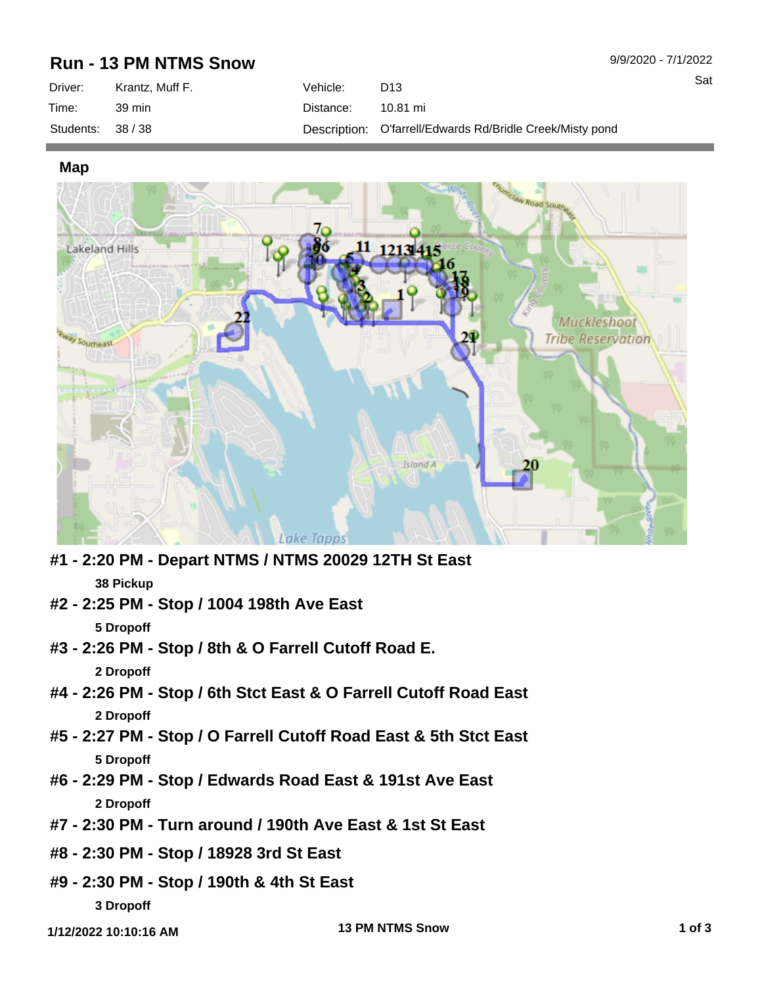## **Run - 13 PM NTMS Snow**

| Driver:           | Krantz. Muff F. | Vehicle:  | D <sub>13</sub>                                           |
|-------------------|-----------------|-----------|-----------------------------------------------------------|
| Time:             | 39 min          | Distance: | 10.81 mi                                                  |
| Students: 38 / 38 |                 |           | Description: O'farrell/Edwards Rd/Bridle Creek/Misty pond |

**Map**



- **#1 2:20 PM Depart NTMS / NTMS 20029 12TH St East 38 Pickup**
- **#2 2:25 PM Stop / 1004 198th Ave East**

**5 Dropoff**

- **#3 2:26 PM Stop / 8th & O Farrell Cutoff Road E. 2 Dropoff**
- **#4 2:26 PM Stop / 6th Stct East & O Farrell Cutoff Road East 2 Dropoff**
- **#5 2:27 PM Stop / O Farrell Cutoff Road East & 5th Stct East 5 Dropoff**
- **#6 2:29 PM Stop / Edwards Road East & 191st Ave East 2 Dropoff**
- **#7 2:30 PM Turn around / 190th Ave East & 1st St East**
- **#8 2:30 PM Stop / 18928 3rd St East**
- **#9 2:30 PM Stop / 190th & 4th St East 3 Dropoff**